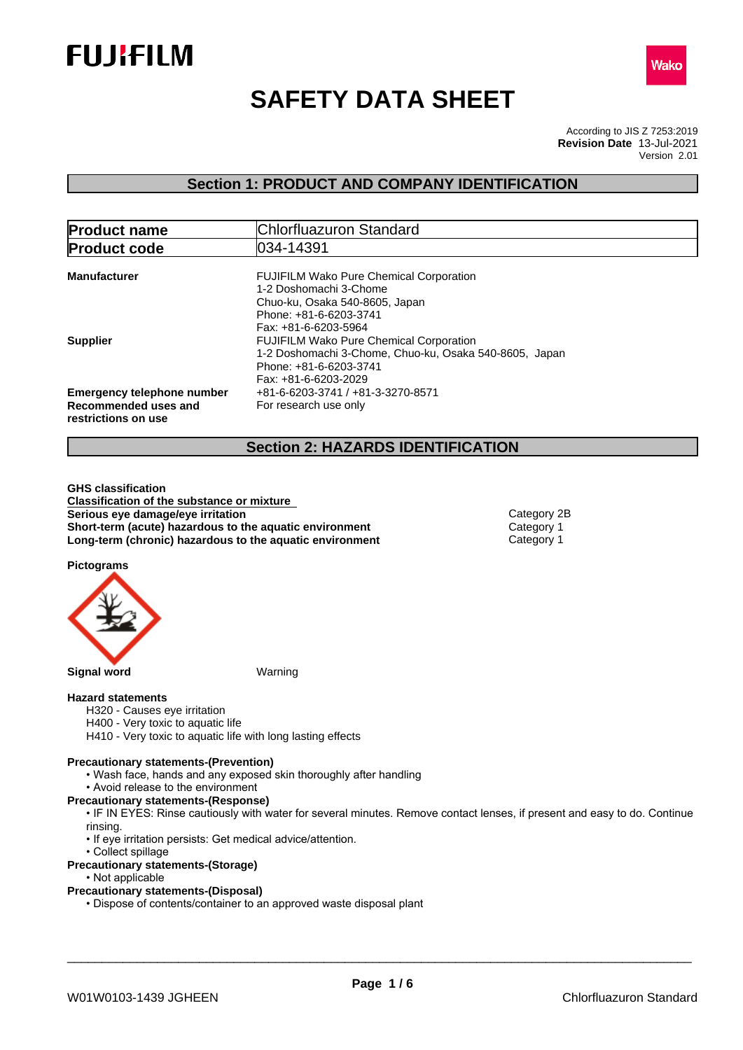



# **SAFETY DATA SHEET**

According to JIS Z 7253:2019 Version 2.01 **Revision Date** 13-Jul-2021

## **Section 1: PRODUCT AND COMPANY IDENTIFICATION**

| <b>Product name</b>                                                              | Chlorfluazuron Standard                                                                                                                                      |
|----------------------------------------------------------------------------------|--------------------------------------------------------------------------------------------------------------------------------------------------------------|
| <b>Product code</b>                                                              | 034-14391                                                                                                                                                    |
| <b>Manufacturer</b>                                                              | <b>FUJIFILM Wako Pure Chemical Corporation</b><br>1-2 Doshomachi 3-Chome<br>Chuo-ku, Osaka 540-8605, Japan<br>Phone: +81-6-6203-3741<br>Fax: +81-6-6203-5964 |
| <b>Supplier</b>                                                                  | <b>FUJIFILM Wako Pure Chemical Corporation</b><br>1-2 Doshomachi 3-Chome, Chuo-ku, Osaka 540-8605, Japan<br>Phone: +81-6-6203-3741<br>Fax: +81-6-6203-2029   |
| <b>Emergency telephone number</b><br>Recommended uses and<br>restrictions on use | +81-6-6203-3741 / +81-3-3270-8571<br>For research use only                                                                                                   |

## **Section 2: HAZARDS IDENTIFICATION**

**GHS classification Classification of the substance or mixture Serious** eye damage/eye irritation **Category 2B Category 2B Short-term (acute) hazardous to the aquatic environment** Category 1<br> **Long-term (chronic) hazardous to the aquatic environment** Category 1 **Long-term (chronic) hazardous to the aquatic environment** 

**Pictograms**



## **Hazard statements**

- H320 Causes eye irritation
- H400 Very toxic to aquatic life
- H410 Very toxic to aquatic life with long lasting effects

#### **Precautionary statements-(Prevention)**

- Wash face, hands and any exposed skin thoroughly after handling
- Avoid release to the environment
- **Precautionary statements-(Response)**
	- IF IN EYES: Rinse cautiously with water for several minutes. Remove contact lenses, if present and easy to do. Continue rinsing.
	- If eye irritation persists: Get medical advice/attention.
- Collect spillage
- **Precautionary statements-(Storage)**
	- Not applicable
- **Precautionary statements-(Disposal)**
	- Dispose of contents/container to an approved waste disposal plant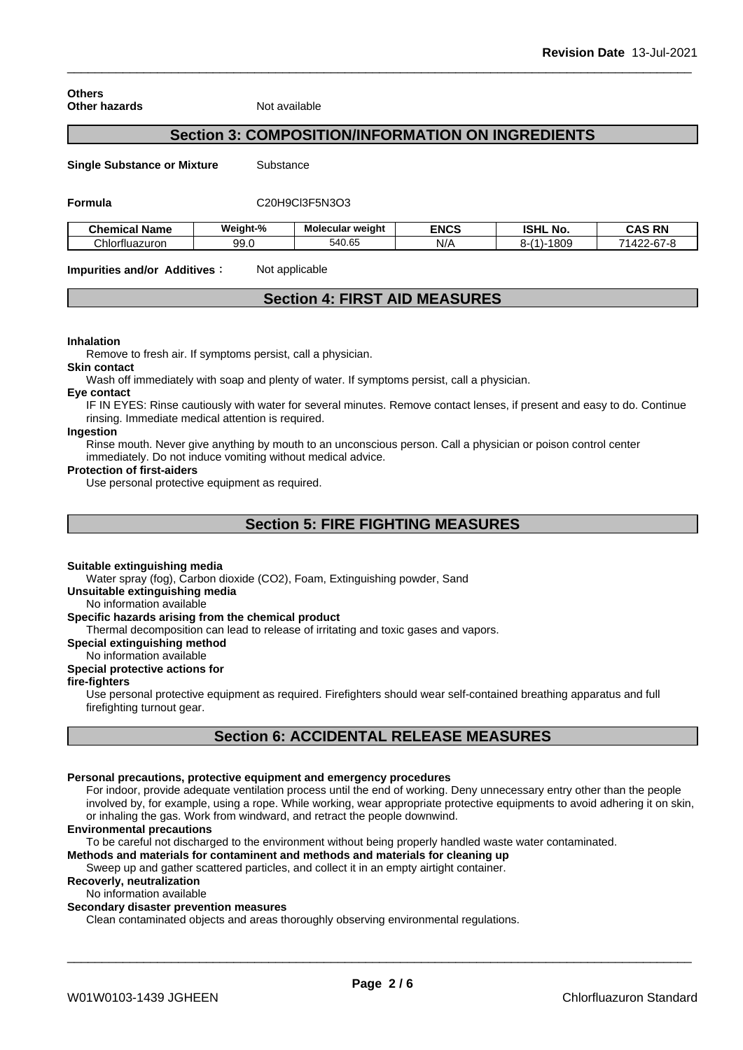**Others Other hazards** Not available

## **Section 3: COMPOSITION/INFORMATION ON INGREDIENTS**

**Single Substance or Mixture** Substance

#### **Formula** C20H9Cl3F5N3O3

| <b>Chemical Name</b> | Weight-% | Molecular weight | <b>ENCS</b> | <b>ISHL</b><br>. No.      | <b>CAS RN</b>                                                          |
|----------------------|----------|------------------|-------------|---------------------------|------------------------------------------------------------------------|
| Chlorfluazuron       | 99.0     | 540.65           | N/t         | 0/4<br>0001<br>೦∪೬<br>$-$ | $\sim$<br>$\overline{\phantom{a}}$<br>≖<br>$2 - 2 - 1 = 1$<br>ີ<br>. . |

**Impurities and/or Additives:** Not applicable

## **Section 4: FIRST AID MEASURES**

#### **Inhalation**

Remove to fresh air. If symptoms persist, call a physician.

#### **Skin contact**

Wash off immediately with soap and plenty of water. If symptoms persist, call a physician.

#### **Eye contact**

IF IN EYES: Rinse cautiously with water for several minutes. Remove contact lenses, if present and easy to do. Continue rinsing. Immediate medical attention is required.

## **Ingestion**

Rinse mouth. Never give anything by mouth to an unconscious person. Call a physician or poison control center immediately. Do not induce vomiting without medical advice.

#### **Protection of first-aiders**

Use personal protective equipment as required.

## **Section 5: FIRE FIGHTING MEASURES**

#### **Suitable extinguishing media**

Water spray (fog), Carbon dioxide (CO2), Foam, Extinguishing powder, Sand

## **Unsuitable extinguishing media**

No information available

## **Specific hazards arising from the chemical product**

Thermal decomposition can lead to release of irritating and toxic gases and vapors.

#### **Special extinguishing method**

No information available

## **Special protective actions for**

## **fire-fighters**

Use personal protective equipment as required.Firefighters should wear self-contained breathing apparatus and full firefighting turnout gear.

## **Section 6: ACCIDENTAL RELEASE MEASURES**

## **Personal precautions, protective equipment and emergency procedures**

For indoor, provide adequate ventilation process until the end of working. Deny unnecessary entry other than the people involved by, for example, using a rope. While working, wear appropriate protective equipments to avoid adhering it on skin, or inhaling the gas. Work from windward, and retract the people downwind.

### **Environmental precautions**

To be careful not discharged to the environment without being properly handled waste water contaminated.

## **Methods and materials for contaminent and methods and materials for cleaning up**

Sweep up and gather scattered particles, and collect it in an empty airtight container.

## **Recoverly, neutralization**

No information available

## **Secondary disaster prevention measures**

Clean contaminated objects and areas thoroughly observing environmental regulations.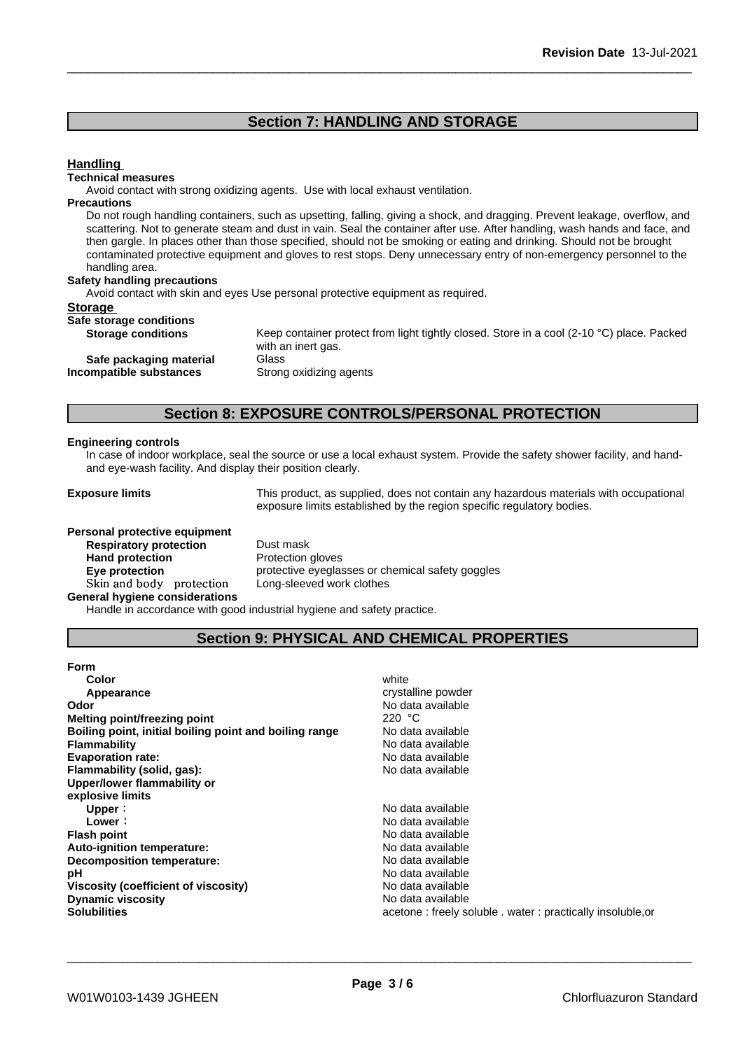## **Section 7: HANDLING AND STORAGE**

## **Handling**

#### **Technical measures**

Avoid contact with strong oxidizing agents. Use with local exhaust ventilation.

## **Precautions**

Do not rough handling containers, such as upsetting, falling, giving a shock, and dragging. Prevent leakage, overflow, and scattering. Not to generate steam and dust in vain. Seal the container after use. After handling, wash hands and face, and then gargle. In places other than those specified, should not be smoking or eating and drinking. Should not be brought contaminated protective equipment and gloves to rest stops. Deny unnecessary entry of non-emergency personnel to the handling area.

#### **Safety handling precautions**

Avoid contact with skin and eyes Use personal protective equipment as required.

#### **Storage**

| Safe storage conditions |  |
|-------------------------|--|
|                         |  |

**Incompatible** substances

**Storage conditions** Keep container protect from light tightly closed. Store in a cool (2-10 °C) place. Packed with an inert gas. **Safe packaging material** Glass<br>**ompatible substances** Strong oxidizing agents

## **Section 8: EXPOSURE CONTROLS/PERSONAL PROTECTION**

#### **Engineering controls**

In case of indoor workplace, seal the source or use a local exhaust system. Provide the safety shower facility, and handand eye-wash facility. And display their position clearly.

**Exposure limits** This product, as supplied, does not contain any hazardous materials with occupational exposure limits established by the region specific regulatory bodies.

| Personal protective equipment         |                      |
|---------------------------------------|----------------------|
| <b>Respiratory protection</b>         | Dust mask            |
| <b>Hand protection</b>                | Protection gloves    |
| Eye protection                        | protective eyeglasse |
| Skin and body protection              | Long-sleeved work    |
| <b>General hygiene considerations</b> |                      |

**Dust mask Protection gloves Eye protection** protective eyeglasses or chemical safety goggles Long-sleeved work clothes

Handle in accordance with good industrial hygiene and safety practice.

## **Section 9: PHYSICAL AND CHEMICAL PROPERTIES**

| <b>Form</b>                                            |                                                            |
|--------------------------------------------------------|------------------------------------------------------------|
| Color                                                  | white                                                      |
| Appearance                                             | crystalline powder                                         |
| Odor                                                   | No data available                                          |
| Melting point/freezing point                           | 220 $\degree$ C                                            |
| Boiling point, initial boiling point and boiling range | No data available                                          |
| <b>Flammability</b>                                    | No data available                                          |
| <b>Evaporation rate:</b>                               | No data available                                          |
| Flammability (solid, gas):                             | No data available                                          |
| Upper/lower flammability or                            |                                                            |
| explosive limits                                       |                                                            |
| Upper:                                                 | No data available                                          |
| Lower:                                                 | No data available                                          |
| <b>Flash point</b>                                     | No data available                                          |
| Auto-ignition temperature:                             | No data available                                          |
| Decomposition temperature:                             | No data available                                          |
| рH                                                     | No data available                                          |
| Viscosity (coefficient of viscosity)                   | No data available                                          |
| <b>Dynamic viscosity</b>                               | No data available                                          |
| <b>Solubilities</b>                                    | acetone: freely soluble . water: practically insoluble, or |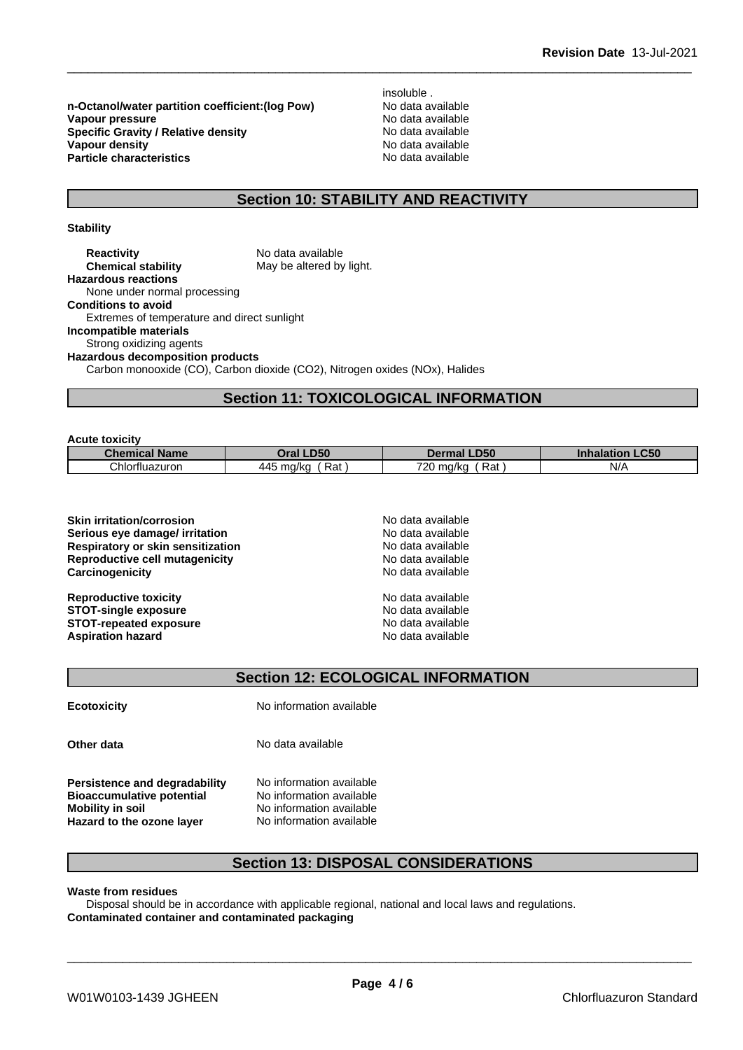**n-Octanol/water partition coefficient:(log Pow) No data available<br>
<b>Vapour pressure** No data available **Vapour pressure Specific Gravity / Relative density** No data available<br> **Vapour density** No data available **Vapour density**<br> **Particle characteristics**<br> **Particle characteristics**<br> **Particle characteristics Particle characteristics** 

insoluble .<br>No data available

## **Section 10: STABILITY AND REACTIVITY**

## **Stability**

**Acute toxicity**

**Reactivity** No data available<br> **Chemical stability** May be altered by May be altered by light. **Hazardous reactions** None under normal processing **Conditions to avoid** Extremes of temperature and direct sunlight **Incompatible materials** Strong oxidizing agents **Hazardous decomposition products** Carbon monooxide (CO), Carbon dioxide (CO2), Nitrogen oxides (NOx), Halides

## **Section 11: TOXICOLOGICAL INFORMATION**

| ACULE LOXICITY |                      |                                                 |                              |                                  |
|----------------|----------------------|-------------------------------------------------|------------------------------|----------------------------------|
|                | <b>Chemical Name</b> | <b>Oral LD50</b>                                | <b>LD50</b><br>Dermal        | <b>LC50</b><br><b>Inhalation</b> |
|                | Chlorfluazuron       | Rat<br>$\overline{\phantom{a}}$<br>ma/ka<br>445 | Rat,<br>720.5<br>⊤ma/ka<br>∼ | N/A                              |

| <b>Skin irritation/corrosion</b>  | No data available |  |
|-----------------------------------|-------------------|--|
| Serious eye damage/ irritation    | No data available |  |
| Respiratory or skin sensitization | No data available |  |
| Reproductive cell mutagenicity    | No data available |  |
| Carcinogenicity                   | No data available |  |
| <b>Reproductive toxicity</b>      | No data available |  |
| <b>STOT-single exposure</b>       | No data available |  |
| <b>STOT-repeated exposure</b>     | No data available |  |
| <b>Aspiration hazard</b>          | No data available |  |

**Section 12: ECOLOGICAL INFORMATION**

**Ecotoxicity** No information available

**Other data** No data available

**Persistence and degradability** No information available **Bioaccumulative potential** No information available **Mobility in soil** No information available **Hazard to the ozone layer** No information available

## **Section 13: DISPOSAL CONSIDERATIONS**

#### **Waste from residues**

Disposal should be in accordance with applicable regional, national and local laws and regulations. **Contaminated container and contaminated packaging**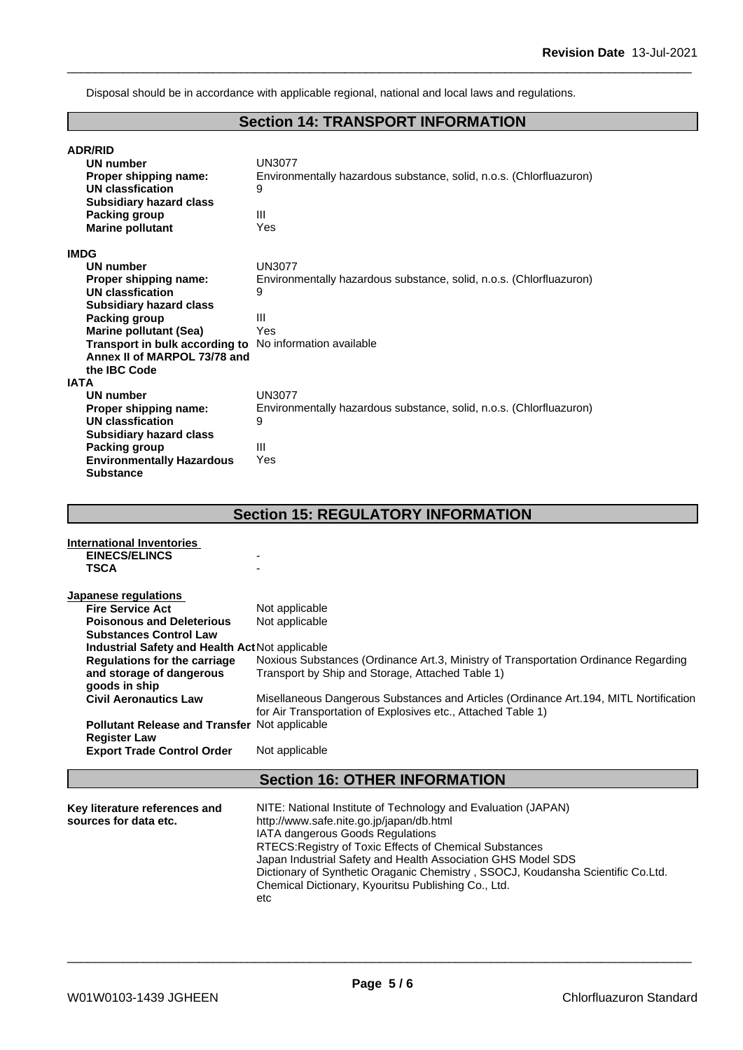Disposal should be in accordance with applicable regional, national and local laws and regulations.

## **Section 14: TRANSPORT INFORMATION**

| <b>ADR/RID</b><br><b>UN number</b><br>Proper shipping name:<br><b>UN classfication</b><br><b>Subsidiary hazard class</b><br><b>Packing group</b><br><b>Marine pollutant</b>                                                                                                                                                                                                                                                                                                                        | <b>UN3077</b><br>Environmentally hazardous substance, solid, n.o.s. (Chlorfluazuron)<br>9<br>III<br>Yes                                                                                                                       |
|----------------------------------------------------------------------------------------------------------------------------------------------------------------------------------------------------------------------------------------------------------------------------------------------------------------------------------------------------------------------------------------------------------------------------------------------------------------------------------------------------|-------------------------------------------------------------------------------------------------------------------------------------------------------------------------------------------------------------------------------|
| <b>IMDG</b><br><b>UN number</b><br>Proper shipping name:<br><b>UN classfication</b><br><b>Subsidiary hazard class</b><br><b>Packing group</b><br><b>Marine pollutant (Sea)</b><br>Transport in bulk according to No information available<br>Annex II of MARPOL 73/78 and<br>the IBC Code<br><b>IATA</b><br><b>UN number</b><br>Proper shipping name:<br><b>UN classfication</b><br><b>Subsidiary hazard class</b><br><b>Packing group</b><br><b>Environmentally Hazardous</b><br><b>Substance</b> | <b>UN3077</b><br>Environmentally hazardous substance, solid, n.o.s. (Chlorfluazuron)<br>9<br>$\mathbf{III}$<br>Yes<br><b>UN3077</b><br>Environmentally hazardous substance, solid, n.o.s. (Chlorfluazuron)<br>9<br>III<br>Yes |
|                                                                                                                                                                                                                                                                                                                                                                                                                                                                                                    | <b>Section 15: REGULATORY INFORMATION</b>                                                                                                                                                                                     |
| <b>International Inventories</b><br><b>EINECS/ELINCS</b><br><b>TSCA</b>                                                                                                                                                                                                                                                                                                                                                                                                                            |                                                                                                                                                                                                                               |
| Japanese regulations<br><b>Fire Service Act</b><br><b>Poisonous and Deleterious</b><br><b>Substances Control Law</b><br>Industrial Safety and Health ActNot applicable                                                                                                                                                                                                                                                                                                                             | Not applicable<br>Not applicable                                                                                                                                                                                              |

| <b>Poisonous and Deleterious</b>                       | Not applicable                                                                                                                         |
|--------------------------------------------------------|----------------------------------------------------------------------------------------------------------------------------------------|
| <b>Substances Control Law</b>                          |                                                                                                                                        |
| <b>Industrial Safety and Health Act Not applicable</b> |                                                                                                                                        |
| Regulations for the carriage                           | Noxious Substances (Ordinance Art.3, Ministry of Transportation Ordinance Regarding                                                    |
| and storage of dangerous<br>goods in ship              | Transport by Ship and Storage, Attached Table 1)                                                                                       |
| <b>Civil Aeronautics Law</b>                           | Misellaneous Dangerous Substances and Articles (Ordinance Art.194, MITL Nortification                                                  |
|                                                        | for Air Transportation of Explosives etc., Attached Table 1)                                                                           |
| <b>Pollutant Release and Transfer Not applicable</b>   |                                                                                                                                        |
| <b>Register Law</b>                                    |                                                                                                                                        |
|                                                        |                                                                                                                                        |
|                                                        |                                                                                                                                        |
| <b>Export Trade Control Order</b>                      | Not applicable                                                                                                                         |
|                                                        | <b>Section 16: OTHER INFORMATION</b>                                                                                                   |
|                                                        |                                                                                                                                        |
| Key literature references and                          | NITE: National Institute of Technology and Evaluation (JAPAN)                                                                          |
| sources for data etc.                                  | http://www.safe.nite.go.jp/japan/db.html                                                                                               |
|                                                        | IATA dangerous Goods Regulations                                                                                                       |
|                                                        | RTECS: Registry of Toxic Effects of Chemical Substances                                                                                |
|                                                        | Japan Industrial Safety and Health Association GHS Model SDS                                                                           |
|                                                        | Dictionary of Synthetic Oraganic Chemistry, SSOCJ, Koudansha Scientific Co.Ltd.<br>Chemical Dictionary, Kyouritsu Publishing Co., Ltd. |

etc